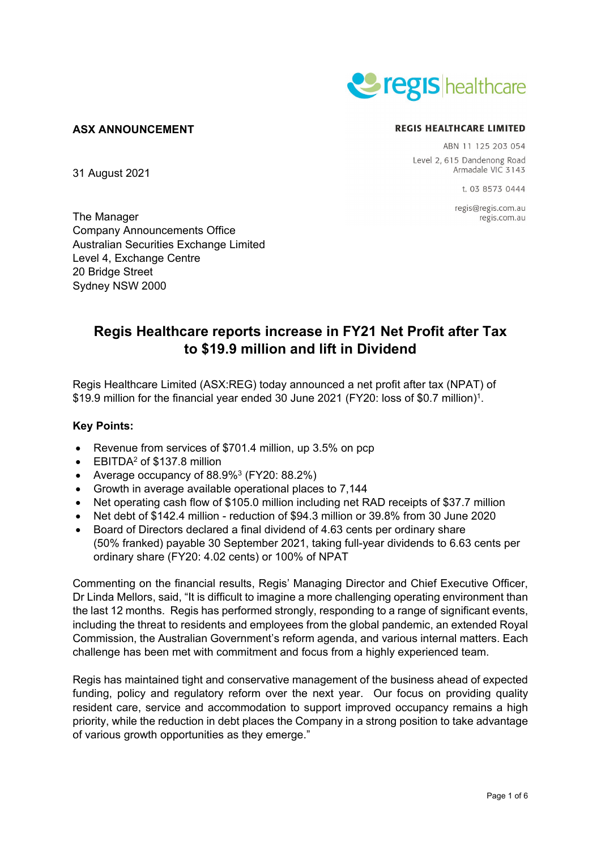

# **ASX ANNOUNCEMENT**

31 August 2021

#### **REGIS HEALTHCARE LIMITED**

ABN 11 125 203 054 Level 2, 615 Dandenong Road Armadale VIC 3143

1 03 8573 0444

regis@regis.com.au regis.com.au

The Manager Company Announcements Office Australian Securities Exchange Limited Level 4, Exchange Centre 20 Bridge Street Sydney NSW 2000

# **Regis Healthcare reports increase in FY21 Net Profit after Tax to \$19.9 million and lift in Dividend**

Regis Healthcare Limited (ASX:REG) today announced a net profit after tax (NPAT) of \$19.9 million for the financial year ended 30 June 2021 (FY20: loss of \$0.7 million)<sup>1</sup>.

# **Key Points:**

- Revenue from services of \$701.4 million, up 3.5% on pcp
- EBITDA<sup>2</sup> of \$137.8 million
- Average occupancy of  $88.9\%$ <sup>3</sup> (FY20:  $88.2\%$ )
- Growth in average available operational places to 7,144
- Net operating cash flow of \$105.0 million including net RAD receipts of \$37.7 million
- Net debt of \$142.4 million reduction of \$94.3 million or 39.8% from 30 June 2020
- Board of Directors declared a final dividend of 4.63 cents per ordinary share (50% franked) payable 30 September 2021, taking full-year dividends to 6.63 cents per ordinary share (FY20: 4.02 cents) or 100% of NPAT

Commenting on the financial results, Regis' Managing Director and Chief Executive Officer, Dr Linda Mellors, said, "It is difficult to imagine a more challenging operating environment than the last 12 months. Regis has performed strongly, responding to a range of significant events, including the threat to residents and employees from the global pandemic, an extended Royal Commission, the Australian Government's reform agenda, and various internal matters. Each challenge has been met with commitment and focus from a highly experienced team.

Regis has maintained tight and conservative management of the business ahead of expected funding, policy and regulatory reform over the next year. Our focus on providing quality resident care, service and accommodation to support improved occupancy remains a high priority, while the reduction in debt places the Company in a strong position to take advantage of various growth opportunities as they emerge."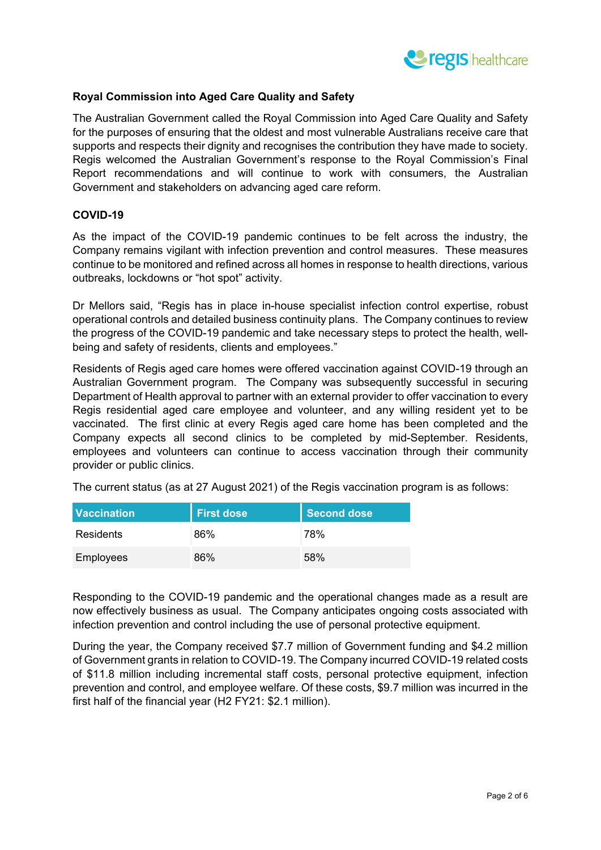

# **Royal Commission into Aged Care Quality and Safety**

The Australian Government called the Royal Commission into Aged Care Quality and Safety for the purposes of ensuring that the oldest and most vulnerable Australians receive care that supports and respects their dignity and recognises the contribution they have made to society. Regis welcomed the Australian Government's response to the Royal Commission's Final Report recommendations and will continue to work with consumers, the Australian Government and stakeholders on advancing aged care reform.

# **COVID-19**

As the impact of the COVID-19 pandemic continues to be felt across the industry, the Company remains vigilant with infection prevention and control measures. These measures continue to be monitored and refined across all homes in response to health directions, various outbreaks, lockdowns or "hot spot" activity.

Dr Mellors said, "Regis has in place in-house specialist infection control expertise, robust operational controls and detailed business continuity plans. The Company continues to review the progress of the COVID-19 pandemic and take necessary steps to protect the health, wellbeing and safety of residents, clients and employees."

Residents of Regis aged care homes were offered vaccination against COVID-19 through an Australian Government program. The Company was subsequently successful in securing Department of Health approval to partner with an external provider to offer vaccination to every Regis residential aged care employee and volunteer, and any willing resident yet to be vaccinated. The first clinic at every Regis aged care home has been completed and the Company expects all second clinics to be completed by mid-September. Residents, employees and volunteers can continue to access vaccination through their community provider or public clinics.

The current status (as at 27 August 2021) of the Regis vaccination program is as follows:

| <b>Vaccination</b> | <b>First dose</b> | <b>Second dose</b> |
|--------------------|-------------------|--------------------|
| Residents          | 86%               | 78%                |
| <b>Employees</b>   | 86%               | 58%                |

Responding to the COVID-19 pandemic and the operational changes made as a result are now effectively business as usual. The Company anticipates ongoing costs associated with infection prevention and control including the use of personal protective equipment.

During the year, the Company received \$7.7 million of Government funding and \$4.2 million of Government grants in relation to COVID-19. The Company incurred COVID-19 related costs of \$11.8 million including incremental staff costs, personal protective equipment, infection prevention and control, and employee welfare. Of these costs, \$9.7 million was incurred in the first half of the financial year (H2 FY21: \$2.1 million).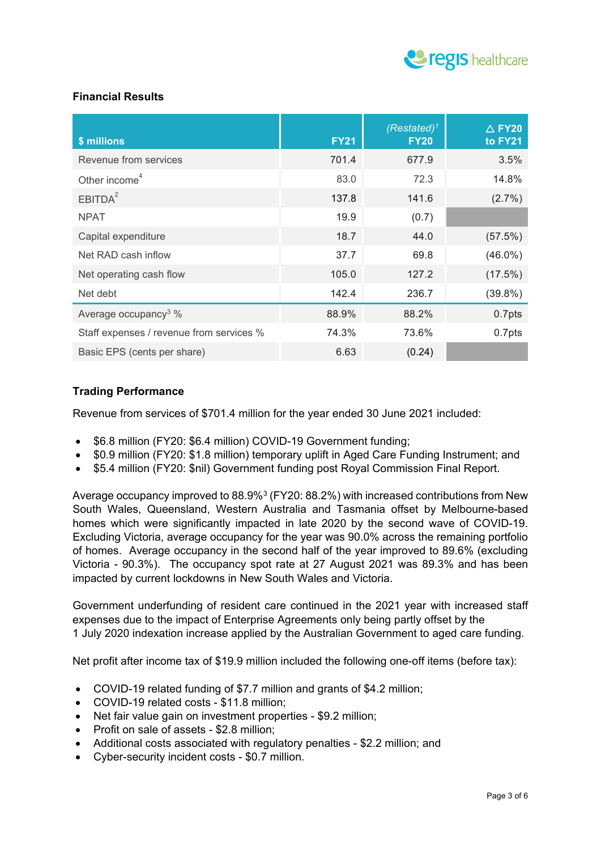

# **Financial Results**

| \$ millions                              | <b>FY21</b> | $(Resated)^1$<br><b>FY20</b> | $\triangle$ FY20<br>to FY21 |
|------------------------------------------|-------------|------------------------------|-----------------------------|
| Revenue from services                    | 701.4       | 677.9                        | 3.5%                        |
| Other income <sup>4</sup>                | 83.0        | 72.3                         | 14.8%                       |
| EBITDA <sup>2</sup>                      | 137.8       | 141.6                        | $(2.7\%)$                   |
| <b>NPAT</b>                              | 19.9        | (0.7)                        |                             |
| Capital expenditure                      | 18.7        | 44.0                         | (57.5%)                     |
| Net RAD cash inflow                      | 37.7        | 69.8                         | $(46.0\%)$                  |
| Net operating cash flow                  | 105.0       | 127.2                        | (17.5%)                     |
| Net debt                                 | 142.4       | 236.7                        | $(39.8\%)$                  |
| Average occupancy <sup>3</sup> %         | 88.9%       | 88.2%                        | 0.7pts                      |
| Staff expenses / revenue from services % | 74.3%       | 73.6%                        | 0.7pts                      |
| Basic EPS (cents per share)              | 6.63        | (0.24)                       |                             |

# **Trading Performance**

Revenue from services of \$701.4 million for the year ended 30 June 2021 included:

- \$6.8 million (FY20: \$6.4 million) COVID-19 Government funding;
- \$0.9 million (FY20: \$1.8 million) temporary uplift in Aged Care Funding Instrument; and
- \$5.4 million (FY20: \$nil) Government funding post Royal Commission Final Report.

Average occupancy improved to  $88.9\%$ <sup>3</sup> (FY20: 88.2%) with increased contributions from New South Wales, Queensland, Western Australia and Tasmania offset by Melbourne-based homes which were significantly impacted in late 2020 by the second wave of COVID-19. Excluding Victoria, average occupancy for the year was 90.0% across the remaining portfolio of homes. Average occupancy in the second half of the year improved to 89.6% (excluding Victoria - 90.3%). The occupancy spot rate at 27 August 2021 was 89.3% and has been impacted by current lockdowns in New South Wales and Victoria.

Government underfunding of resident care continued in the 2021 year with increased staff expenses due to the impact of Enterprise Agreements only being partly offset by the 1 July 2020 indexation increase applied by the Australian Government to aged care funding.

Net profit after income tax of \$19.9 million included the following one-off items (before tax):

- COVID-19 related funding of \$7.7 million and grants of \$4.2 million;
- COVID-19 related costs \$11.8 million;
- Net fair value gain on investment properties \$9.2 million;
- Profit on sale of assets \$2.8 million;
- Additional costs associated with regulatory penalties \$2.2 million; and
- Cyber-security incident costs \$0.7 million.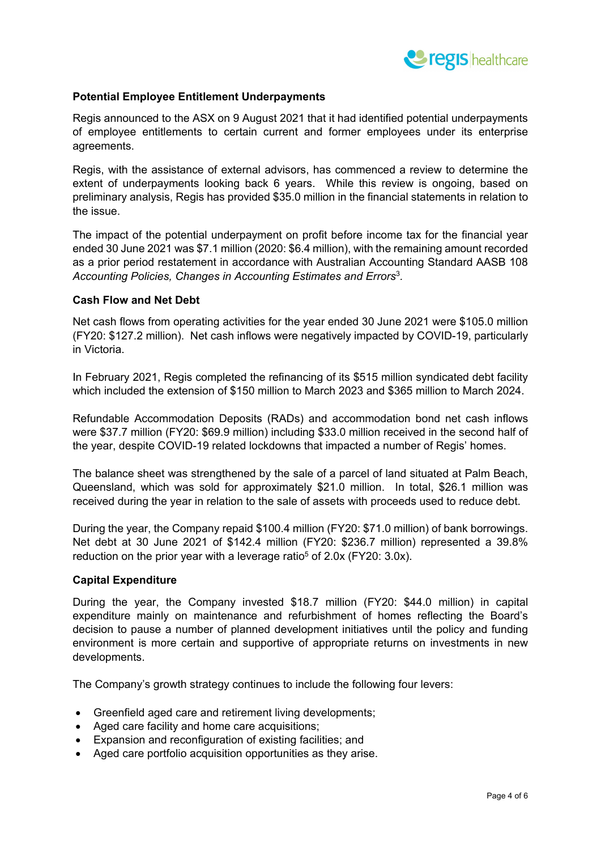

# **Potential Employee Entitlement Underpayments**

Regis announced to the ASX on 9 August 2021 that it had identified potential underpayments of employee entitlements to certain current and former employees under its enterprise agreements.

Regis, with the assistance of external advisors, has commenced a review to determine the extent of underpayments looking back 6 years. While this review is ongoing, based on preliminary analysis, Regis has provided \$35.0 million in the financial statements in relation to the issue.

The impact of the potential underpayment on profit before income tax for the financial year ended 30 June 2021 was \$7.1 million (2020: \$6.4 million), with the remaining amount recorded as a prior period restatement in accordance with Australian Accounting Standard AASB 108 *Accounting Policies, Changes in Accounting Estimates and Errors*<sup>3</sup>*.*

#### **Cash Flow and Net Debt**

Net cash flows from operating activities for the year ended 30 June 2021 were \$105.0 million (FY20: \$127.2 million). Net cash inflows were negatively impacted by COVID-19, particularly in Victoria.

In February 2021, Regis completed the refinancing of its \$515 million syndicated debt facility which included the extension of \$150 million to March 2023 and \$365 million to March 2024.

Refundable Accommodation Deposits (RADs) and accommodation bond net cash inflows were \$37.7 million (FY20: \$69.9 million) including \$33.0 million received in the second half of the year, despite COVID-19 related lockdowns that impacted a number of Regis' homes.

The balance sheet was strengthened by the sale of a parcel of land situated at Palm Beach, Queensland, which was sold for approximately \$21.0 million. In total, \$26.1 million was received during the year in relation to the sale of assets with proceeds used to reduce debt.

During the year, the Company repaid \$100.4 million (FY20: \$71.0 million) of bank borrowings. Net debt at 30 June 2021 of \$142.4 million (FY20: \$236.7 million) represented a 39.8% reduction on the prior year with a leverage ratio<sup>5</sup> of 2.0x (FY20: 3.0x).

#### **Capital Expenditure**

During the year, the Company invested \$18.7 million (FY20: \$44.0 million) in capital expenditure mainly on maintenance and refurbishment of homes reflecting the Board's decision to pause a number of planned development initiatives until the policy and funding environment is more certain and supportive of appropriate returns on investments in new developments.

The Company's growth strategy continues to include the following four levers:

- Greenfield aged care and retirement living developments;
- Aged care facility and home care acquisitions;
- Expansion and reconfiguration of existing facilities; and
- Aged care portfolio acquisition opportunities as they arise.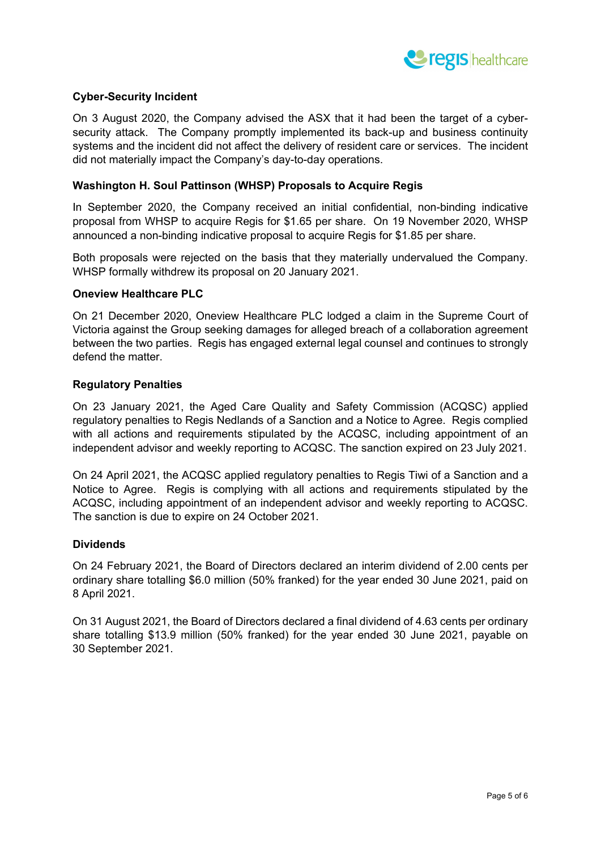

# **Cyber-Security Incident**

On 3 August 2020, the Company advised the ASX that it had been the target of a cybersecurity attack. The Company promptly implemented its back-up and business continuity systems and the incident did not affect the delivery of resident care or services. The incident did not materially impact the Company's day-to-day operations.

#### **Washington H. Soul Pattinson (WHSP) Proposals to Acquire Regis**

In September 2020, the Company received an initial confidential, non-binding indicative proposal from WHSP to acquire Regis for \$1.65 per share. On 19 November 2020, WHSP announced a non-binding indicative proposal to acquire Regis for \$1.85 per share.

Both proposals were rejected on the basis that they materially undervalued the Company. WHSP formally withdrew its proposal on 20 January 2021.

#### **Oneview Healthcare PLC**

On 21 December 2020, Oneview Healthcare PLC lodged a claim in the Supreme Court of Victoria against the Group seeking damages for alleged breach of a collaboration agreement between the two parties. Regis has engaged external legal counsel and continues to strongly defend the matter.

#### **Regulatory Penalties**

On 23 January 2021, the Aged Care Quality and Safety Commission (ACQSC) applied regulatory penalties to Regis Nedlands of a Sanction and a Notice to Agree. Regis complied with all actions and requirements stipulated by the ACQSC, including appointment of an independent advisor and weekly reporting to ACQSC. The sanction expired on 23 July 2021.

On 24 April 2021, the ACQSC applied regulatory penalties to Regis Tiwi of a Sanction and a Notice to Agree. Regis is complying with all actions and requirements stipulated by the ACQSC, including appointment of an independent advisor and weekly reporting to ACQSC. The sanction is due to expire on 24 October 2021.

#### **Dividends**

On 24 February 2021, the Board of Directors declared an interim dividend of 2.00 cents per ordinary share totalling \$6.0 million (50% franked) for the year ended 30 June 2021, paid on 8 April 2021.

On 31 August 2021, the Board of Directors declared a final dividend of 4.63 cents per ordinary share totalling \$13.9 million (50% franked) for the year ended 30 June 2021, payable on 30 September 2021.